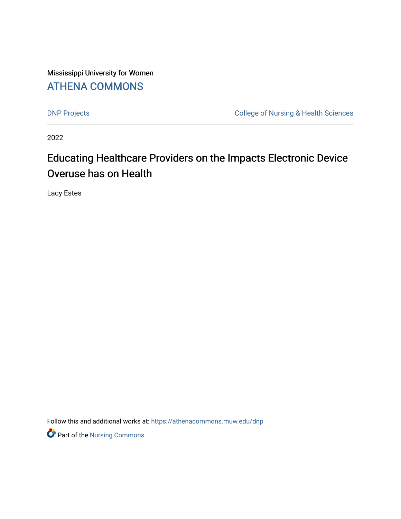Mississippi University for Women [ATHENA COMMONS](https://athenacommons.muw.edu/) 

[DNP Projects](https://athenacommons.muw.edu/dnp) **College of Nursing & Health Sciences** 

2022

# Educating Healthcare Providers on the Impacts Electronic Device Overuse has on Health

Lacy Estes

Follow this and additional works at: [https://athenacommons.muw.edu/dnp](https://athenacommons.muw.edu/dnp?utm_source=athenacommons.muw.edu%2Fdnp%2F4&utm_medium=PDF&utm_campaign=PDFCoverPages)

**P** Part of the Nursing Commons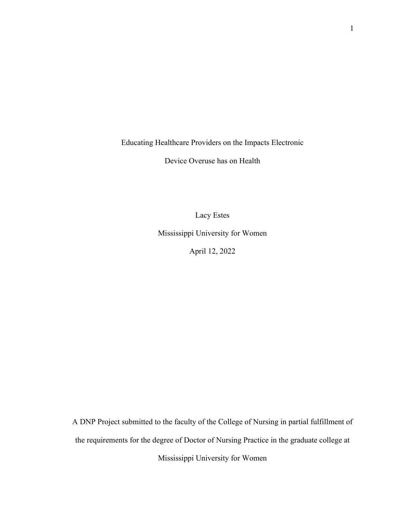Educating Healthcare Providers on the Impacts Electronic

Device Overuse has on Health

Lacy Estes

Mississippi University for Women

April 12, 2022

A DNP Project submitted to the faculty of the College of Nursing in partial fulfillment of the requirements for the degree of Doctor of Nursing Practice in the graduate college at Mississippi University for Women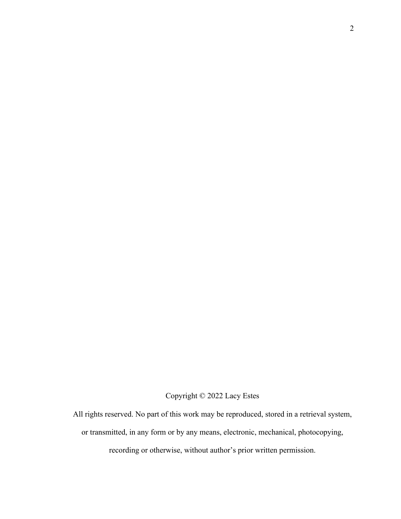Copyright © 2022 Lacy Estes

All rights reserved. No part of this work may be reproduced, stored in a retrieval system, or transmitted, in any form or by any means, electronic, mechanical, photocopying, recording or otherwise, without author's prior written permission.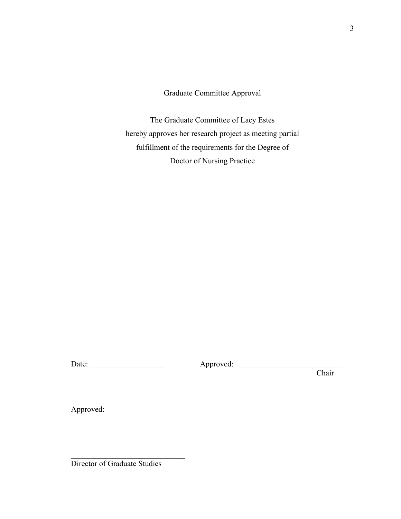Graduate Committee Approval

The Graduate Committee of Lacy Estes hereby approves her research project as meeting partial fulfillment of the requirements for the Degree of Doctor of Nursing Practice

Date: \_\_\_\_\_\_\_\_\_\_\_\_\_\_\_\_\_\_\_ Approved: \_\_\_\_\_\_\_\_\_\_\_\_\_\_\_\_\_\_\_\_\_\_\_\_\_\_\_

**Chair** 

Approved:

Director of Graduate Studies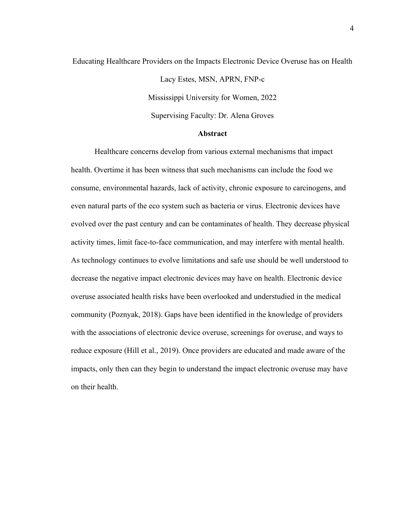# Educating Healthcare Providers on the Impacts Electronic Device Overuse has on Health Lacy Estes, MSN, APRN, FNP-c Mississippi University for Women, 2022 Supervising Faculty: Dr. Alena Groves

## **Abstract**

Healthcare concerns develop from various external mechanisms that impact health. Overtime it has been witness that such mechanisms can include the food we consume, environmental hazards, lack of activity, chronic exposure to carcinogens, and even natural parts of the eco system such as bacteria or virus. Electronic devices have evolved over the past century and can be contaminates of health. They decrease physical activity times, limit face-to-face communication, and may interfere with mental health. As technology continues to evolve limitations and safe use should be well understood to decrease the negative impact electronic devices may have on health. Electronic device overuse associated health risks have been overlooked and understudied in the medical community (Poznyak, 2018). Gaps have been identified in the knowledge of providers with the associations of electronic device overuse, screenings for overuse, and ways to reduce exposure (Hill et al., 2019). Once providers are educated and made aware of the impacts, only then can they begin to understand the impact electronic overuse may have on their health.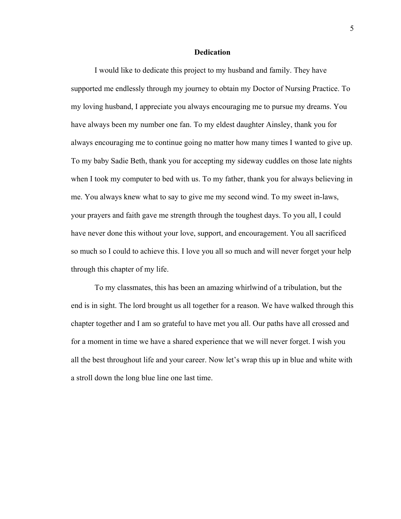#### **Dedication**

I would like to dedicate this project to my husband and family. They have supported me endlessly through my journey to obtain my Doctor of Nursing Practice. To my loving husband, I appreciate you always encouraging me to pursue my dreams. You have always been my number one fan. To my eldest daughter Ainsley, thank you for always encouraging me to continue going no matter how many times I wanted to give up. To my baby Sadie Beth, thank you for accepting my sideway cuddles on those late nights when I took my computer to bed with us. To my father, thank you for always believing in me. You always knew what to say to give me my second wind. To my sweet in-laws, your prayers and faith gave me strength through the toughest days. To you all, I could have never done this without your love, support, and encouragement. You all sacrificed so much so I could to achieve this. I love you all so much and will never forget your help through this chapter of my life.

To my classmates, this has been an amazing whirlwind of a tribulation, but the end is in sight. The lord brought us all together for a reason. We have walked through this chapter together and I am so grateful to have met you all. Our paths have all crossed and for a moment in time we have a shared experience that we will never forget. I wish you all the best throughout life and your career. Now let's wrap this up in blue and white with a stroll down the long blue line one last time.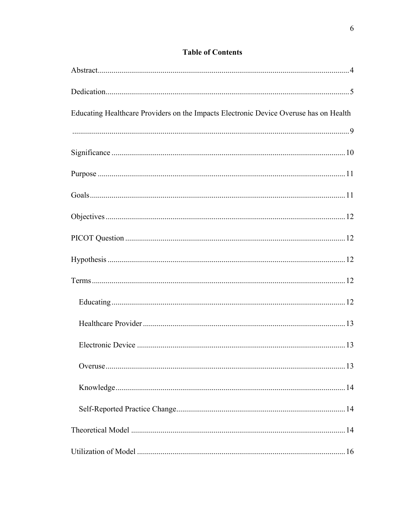# **Table of Contents**

| Educating Healthcare Providers on the Impacts Electronic Device Overuse has on Health |
|---------------------------------------------------------------------------------------|
|                                                                                       |
|                                                                                       |
|                                                                                       |
|                                                                                       |
|                                                                                       |
|                                                                                       |
|                                                                                       |
|                                                                                       |
|                                                                                       |
|                                                                                       |
|                                                                                       |
|                                                                                       |
|                                                                                       |
|                                                                                       |
|                                                                                       |
|                                                                                       |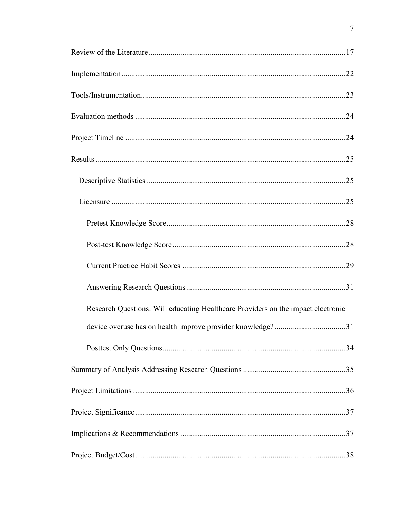| Research Questions: Will educating Healthcare Providers on the impact electronic |
|----------------------------------------------------------------------------------|
|                                                                                  |
|                                                                                  |
|                                                                                  |
|                                                                                  |
|                                                                                  |
|                                                                                  |
|                                                                                  |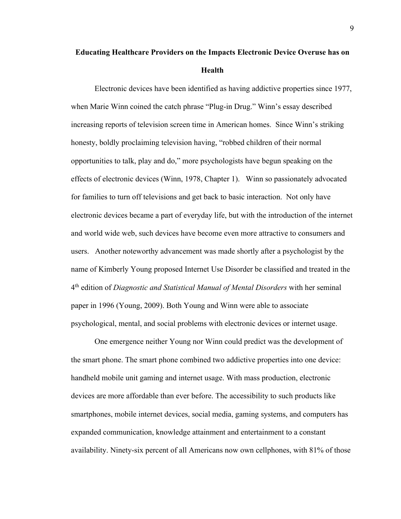# **Educating Healthcare Providers on the Impacts Electronic Device Overuse has on Health**

Electronic devices have been identified as having addictive properties since 1977, when Marie Winn coined the catch phrase "Plug-in Drug." Winn's essay described increasing reports of television screen time in American homes. Since Winn's striking honesty, boldly proclaiming television having, "robbed children of their normal opportunities to talk, play and do," more psychologists have begun speaking on the effects of electronic devices (Winn, 1978, Chapter 1). Winn so passionately advocated for families to turn off televisions and get back to basic interaction. Not only have electronic devices became a part of everyday life, but with the introduction of the internet and world wide web, such devices have become even more attractive to consumers and users. Another noteworthy advancement was made shortly after a psychologist by the name of Kimberly Young proposed Internet Use Disorder be classified and treated in the 4th edition of *Diagnostic and Statistical Manual of Mental Disorders* with her seminal paper in 1996 (Young, 2009). Both Young and Winn were able to associate psychological, mental, and social problems with electronic devices or internet usage.

One emergence neither Young nor Winn could predict was the development of the smart phone. The smart phone combined two addictive properties into one device: handheld mobile unit gaming and internet usage. With mass production, electronic devices are more affordable than ever before. The accessibility to such products like smartphones, mobile internet devices, social media, gaming systems, and computers has expanded communication, knowledge attainment and entertainment to a constant availability. Ninety-six percent of all Americans now own cellphones, with 81% of those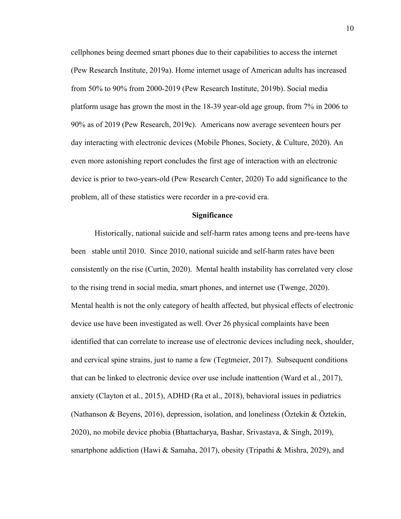cellphones being deemed smart phones due to their capabilities to access the internet (Pew Research Institute, 2019a). Home internet usage of American adults has increased from 50% to 90% from 2000-2019 (Pew Research Institute, 2019b). Social media platform usage has grown the most in the 18-39 year-old age group, from 7% in 2006 to 90% as of 2019 (Pew Research, 2019c). Americans now average seventeen hours per day interacting with electronic devices (Mobile Phones, Society, & Culture, 2020). An even more astonishing report concludes the first age of interaction with an electronic device is prior to two-years-old (Pew Research Center, 2020) To add significance to the problem, all of these statistics were recorder in a pre-covid era.

#### **Significance**

Historically, national suicide and self-harm rates among teens and pre-teens have been stable until 2010. Since 2010, national suicide and self-harm rates have been consistently on the rise (Curtin, 2020). Mental health instability has correlated very close to the rising trend in social media, smart phones, and internet use (Twenge, 2020). Mental health is not the only category of health affected, but physical effects of electronic device use have been investigated as well. Over 26 physical complaints have been identified that can correlate to increase use of electronic devices including neck, shoulder, and cervical spine strains, just to name a few (Tegtmeier, 2017). Subsequent conditions that can be linked to electronic device over use include inattention (Ward et al., 2017), anxiety (Clayton et al., 2015), ADHD (Ra et al., 2018), behavioral issues in pediatrics (Nathanson & Beyens, 2016), depression, isolation, and loneliness (Öztekin & Öztekin, 2020), no mobile device phobia (Bhattacharya, Bashar, Srivastava, & Singh, 2019), smartphone addiction (Hawi & Samaha, 2017), obesity (Tripathi & Mishra, 2029), and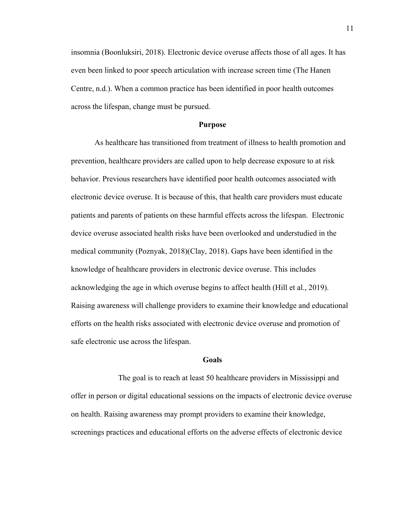insomnia (Boonluksiri, 2018). Electronic device overuse affects those of all ages. It has even been linked to poor speech articulation with increase screen time (The Hanen Centre, n.d.). When a common practice has been identified in poor health outcomes across the lifespan, change must be pursued.

#### **Purpose**

As healthcare has transitioned from treatment of illness to health promotion and prevention, healthcare providers are called upon to help decrease exposure to at risk behavior. Previous researchers have identified poor health outcomes associated with electronic device overuse. It is because of this, that health care providers must educate patients and parents of patients on these harmful effects across the lifespan. Electronic device overuse associated health risks have been overlooked and understudied in the medical community (Poznyak, 2018)(Clay, 2018). Gaps have been identified in the knowledge of healthcare providers in electronic device overuse. This includes acknowledging the age in which overuse begins to affect health (Hill et al., 2019). Raising awareness will challenge providers to examine their knowledge and educational efforts on the health risks associated with electronic device overuse and promotion of safe electronic use across the lifespan.

#### **Goals**

The goal is to reach at least 50 healthcare providers in Mississippi and offer in person or digital educational sessions on the impacts of electronic device overuse on health. Raising awareness may prompt providers to examine their knowledge, screenings practices and educational efforts on the adverse effects of electronic device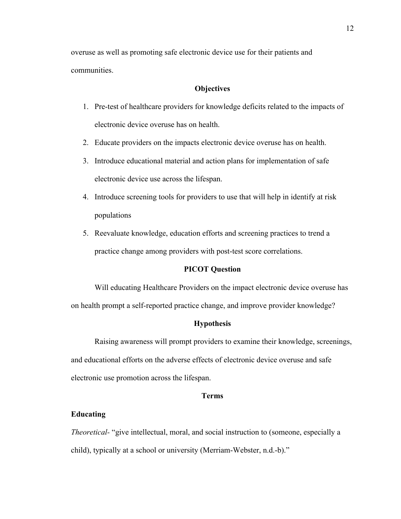overuse as well as promoting safe electronic device use for their patients and communities.

### **Objectives**

- 1. Pre-test of healthcare providers for knowledge deficits related to the impacts of electronic device overuse has on health.
- 2. Educate providers on the impacts electronic device overuse has on health.
- 3. Introduce educational material and action plans for implementation of safe electronic device use across the lifespan.
- 4. Introduce screening tools for providers to use that will help in identify at risk populations
- 5. Reevaluate knowledge, education efforts and screening practices to trend a practice change among providers with post-test score correlations.

#### **PICOT Question**

Will educating Healthcare Providers on the impact electronic device overuse has on health prompt a self-reported practice change, and improve provider knowledge?

### **Hypothesis**

Raising awareness will prompt providers to examine their knowledge, screenings, and educational efforts on the adverse effects of electronic device overuse and safe electronic use promotion across the lifespan.

## **Terms**

## **Educating**

*Theoretical-* "give intellectual, moral, and social instruction to (someone, especially a child), typically at a school or university (Merriam-Webster, n.d.-b)."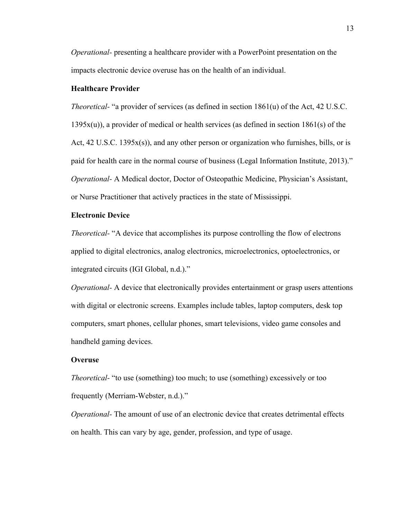*Operational-* presenting a healthcare provider with a PowerPoint presentation on the impacts electronic device overuse has on the health of an individual.

### **Healthcare Provider**

*Theoretical-* "a provider of services (as defined in section 1861(u) of the Act, 42 U.S.C.  $1395x(u)$ , a provider of medical or health services (as defined in section 1861(s) of the Act,  $42$  U.S.C. 1395 $x(s)$ ), and any other person or organization who furnishes, bills, or is paid for health care in the normal course of business (Legal Information Institute, 2013)." *Operational-* A Medical doctor, Doctor of Osteopathic Medicine, Physician's Assistant, or Nurse Practitioner that actively practices in the state of Mississippi.

#### **Electronic Device**

*Theoretical-* "A device that accomplishes its purpose controlling the flow of electrons applied to digital electronics, analog electronics, microelectronics, optoelectronics, or integrated circuits (IGI Global, n.d.)."

*Operational-* A device that electronically provides entertainment or grasp users attentions with digital or electronic screens. Examples include tables, laptop computers, desk top computers, smart phones, cellular phones, smart televisions, video game consoles and handheld gaming devices.

#### **Overuse**

*Theoretical-* "to use (something) too much; to use (something) excessively or too frequently (Merriam-Webster, n.d.)."

*Operational-* The amount of use of an electronic device that creates detrimental effects on health. This can vary by age, gender, profession, and type of usage.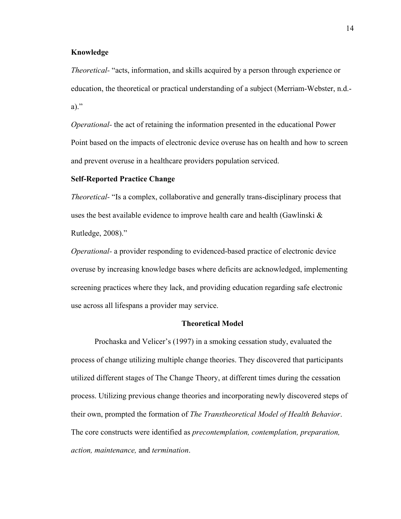## **Knowledge**

*Theoretical-* "acts, information, and skills acquired by a person through experience or education, the theoretical or practical understanding of a subject (Merriam-Webster, n.d. a)."

*Operational-* the act of retaining the information presented in the educational Power Point based on the impacts of electronic device overuse has on health and how to screen and prevent overuse in a healthcare providers population serviced.

#### **Self-Reported Practice Change**

*Theoretical-* "Is a complex, collaborative and generally trans-disciplinary process that uses the best available evidence to improve health care and health (Gawlinski & Rutledge, 2008)."

*Operational-* a provider responding to evidenced-based practice of electronic device overuse by increasing knowledge bases where deficits are acknowledged, implementing screening practices where they lack, and providing education regarding safe electronic use across all lifespans a provider may service.

### **Theoretical Model**

Prochaska and Velicer's (1997) in a smoking cessation study, evaluated the process of change utilizing multiple change theories. They discovered that participants utilized different stages of The Change Theory, at different times during the cessation process. Utilizing previous change theories and incorporating newly discovered steps of their own, prompted the formation of *The Transtheoretical Model of Health Behavior*. The core constructs were identified as *precontemplation, contemplation, preparation, action, maintenance,* and *termination*.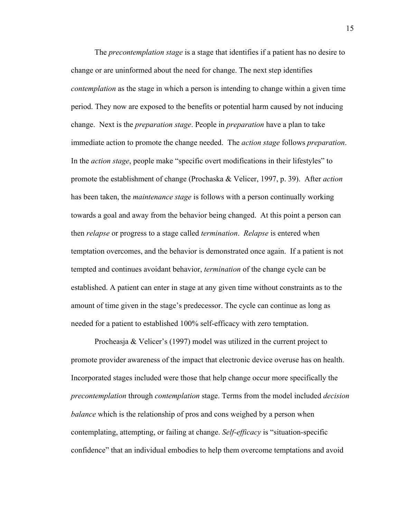The *precontemplation stage* is a stage that identifies if a patient has no desire to change or are uninformed about the need for change. The next step identifies *contemplation* as the stage in which a person is intending to change within a given time period. They now are exposed to the benefits or potential harm caused by not inducing change. Next is the *preparation stage*. People in *preparation* have a plan to take immediate action to promote the change needed. The *action stage* follows *preparation*. In the *action stage*, people make "specific overt modifications in their lifestyles" to promote the establishment of change (Prochaska & Velicer, 1997, p. 39). After *action* has been taken, the *maintenance stage* is follows with a person continually working towards a goal and away from the behavior being changed. At this point a person can then *relapse* or progress to a stage called *termination*. *Relapse* is entered when temptation overcomes, and the behavior is demonstrated once again. If a patient is not tempted and continues avoidant behavior, *termination* of the change cycle can be established. A patient can enter in stage at any given time without constraints as to the amount of time given in the stage's predecessor. The cycle can continue as long as needed for a patient to established 100% self-efficacy with zero temptation.

Procheasja & Velicer's (1997) model was utilized in the current project to promote provider awareness of the impact that electronic device overuse has on health. Incorporated stages included were those that help change occur more specifically the *precontemplation* through *contemplation* stage. Terms from the model included *decision balance* which is the relationship of pros and cons weighed by a person when contemplating, attempting, or failing at change. *Self-efficacy* is "situation-specific confidence" that an individual embodies to help them overcome temptations and avoid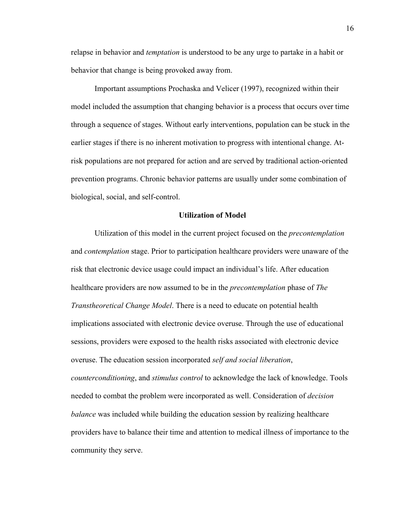relapse in behavior and *temptation* is understood to be any urge to partake in a habit or behavior that change is being provoked away from.

Important assumptions Prochaska and Velicer (1997), recognized within their model included the assumption that changing behavior is a process that occurs over time through a sequence of stages. Without early interventions, population can be stuck in the earlier stages if there is no inherent motivation to progress with intentional change. Atrisk populations are not prepared for action and are served by traditional action-oriented prevention programs. Chronic behavior patterns are usually under some combination of biological, social, and self-control.

#### **Utilization of Model**

Utilization of this model in the current project focused on the *precontemplation* and *contemplation* stage. Prior to participation healthcare providers were unaware of the risk that electronic device usage could impact an individual's life. After education healthcare providers are now assumed to be in the *precontemplation* phase of *The Transtheoretical Change Model*. There is a need to educate on potential health implications associated with electronic device overuse. Through the use of educational sessions, providers were exposed to the health risks associated with electronic device overuse. The education session incorporated *self and social liberation*, *counterconditioning*, and *stimulus control* to acknowledge the lack of knowledge. Tools needed to combat the problem were incorporated as well. Consideration of *decision balance* was included while building the education session by realizing healthcare providers have to balance their time and attention to medical illness of importance to the community they serve.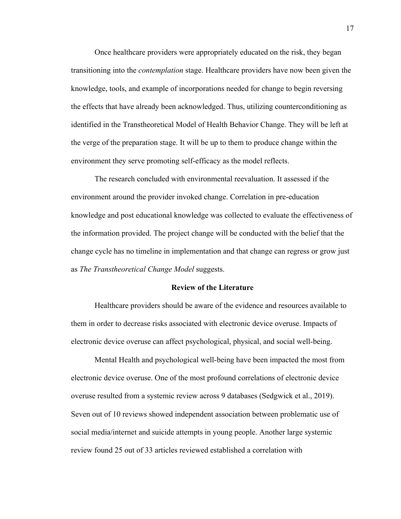Once healthcare providers were appropriately educated on the risk, they began transitioning into the *contemplation* stage. Healthcare providers have now been given the knowledge, tools, and example of incorporations needed for change to begin reversing the effects that have already been acknowledged. Thus, utilizing counterconditioning as identified in the Transtheoretical Model of Health Behavior Change. They will be left at the verge of the preparation stage. It will be up to them to produce change within the environment they serve promoting self-efficacy as the model reflects.

The research concluded with environmental reevaluation. It assessed if the environment around the provider invoked change. Correlation in pre-education knowledge and post educational knowledge was collected to evaluate the effectiveness of the information provided. The project change will be conducted with the belief that the change cycle has no timeline in implementation and that change can regress or grow just as *The Transtheoretical Change Model* suggests.

#### **Review of the Literature**

Healthcare providers should be aware of the evidence and resources available to them in order to decrease risks associated with electronic device overuse. Impacts of electronic device overuse can affect psychological, physical, and social well-being.

Mental Health and psychological well-being have been impacted the most from electronic device overuse. One of the most profound correlations of electronic device overuse resulted from a systemic review across 9 databases (Sedgwick et al., 2019). Seven out of 10 reviews showed independent association between problematic use of social media/internet and suicide attempts in young people. Another large systemic review found 25 out of 33 articles reviewed established a correlation with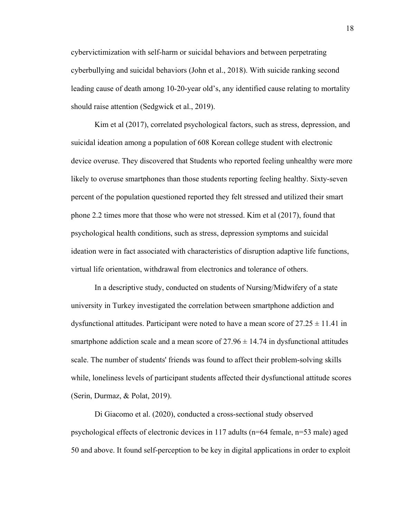cybervictimization with self-harm or suicidal behaviors and between perpetrating cyberbullying and suicidal behaviors (John et al., 2018). With suicide ranking second leading cause of death among 10-20-year old's, any identified cause relating to mortality should raise attention (Sedgwick et al., 2019).

Kim et al (2017), correlated psychological factors, such as stress, depression, and suicidal ideation among a population of 608 Korean college student with electronic device overuse. They discovered that Students who reported feeling unhealthy were more likely to overuse smartphones than those students reporting feeling healthy. Sixty-seven percent of the population questioned reported they felt stressed and utilized their smart phone 2.2 times more that those who were not stressed. Kim et al (2017), found that psychological health conditions, such as stress, depression symptoms and suicidal ideation were in fact associated with characteristics of disruption adaptive life functions, virtual life orientation, withdrawal from electronics and tolerance of others.

In a descriptive study, conducted on students of Nursing/Midwifery of a state university in Turkey investigated the correlation between smartphone addiction and dysfunctional attitudes. Participant were noted to have a mean score of  $27.25 \pm 11.41$  in smartphone addiction scale and a mean score of  $27.96 \pm 14.74$  in dysfunctional attitudes scale. The number of students' friends was found to affect their problem-solving skills while, loneliness levels of participant students affected their dysfunctional attitude scores (Serin, Durmaz, & Polat, 2019).

Di Giacomo et al. (2020), conducted a cross-sectional study observed psychological effects of electronic devices in 117 adults (n=64 female, n=53 male) aged 50 and above. It found self-perception to be key in digital applications in order to exploit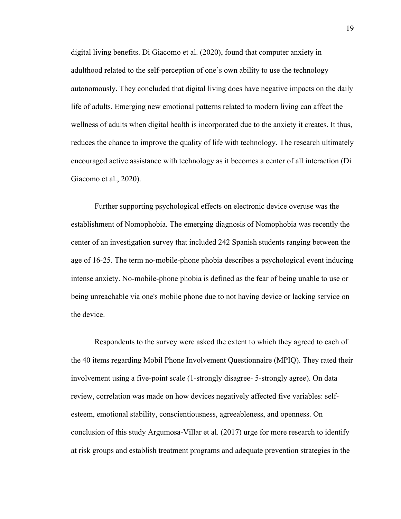digital living benefits. Di Giacomo et al. (2020), found that computer anxiety in adulthood related to the self-perception of one's own ability to use the technology autonomously. They concluded that digital living does have negative impacts on the daily life of adults. Emerging new emotional patterns related to modern living can affect the wellness of adults when digital health is incorporated due to the anxiety it creates. It thus, reduces the chance to improve the quality of life with technology. The research ultimately encouraged active assistance with technology as it becomes a center of all interaction (Di Giacomo et al., 2020).

Further supporting psychological effects on electronic device overuse was the establishment of Nomophobia. The emerging diagnosis of Nomophobia was recently the center of an investigation survey that included 242 Spanish students ranging between the age of 16-25. The term no-mobile-phone phobia describes a psychological event inducing intense anxiety. No-mobile-phone phobia is defined as the fear of being unable to use or being unreachable via one's mobile phone due to not having device or lacking service on the device.

Respondents to the survey were asked the extent to which they agreed to each of the 40 items regarding Mobil Phone Involvement Questionnaire (MPIQ). They rated their involvement using a five-point scale (1-strongly disagree- 5-strongly agree). On data review, correlation was made on how devices negatively affected five variables: selfesteem, emotional stability, conscientiousness, agreeableness, and openness. On conclusion of this study Argumosa-Villar et al. (2017) urge for more research to identify at risk groups and establish treatment programs and adequate prevention strategies in the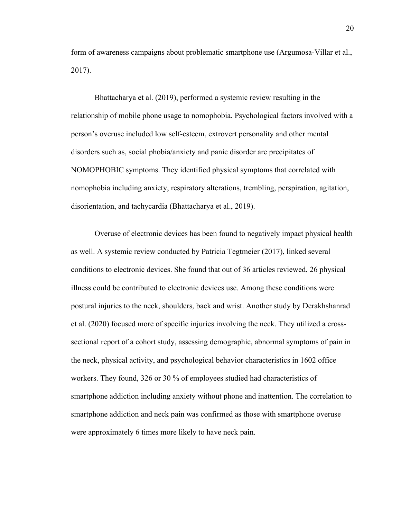form of awareness campaigns about problematic smartphone use (Argumosa-Villar et al., 2017).

Bhattacharya et al. (2019), performed a systemic review resulting in the relationship of mobile phone usage to nomophobia. Psychological factors involved with a person's overuse included low self-esteem, extrovert personality and other mental disorders such as, social phobia/anxiety and panic disorder are precipitates of NOMOPHOBIC symptoms. They identified physical symptoms that correlated with nomophobia including anxiety, respiratory alterations, trembling, perspiration, agitation, disorientation, and tachycardia (Bhattacharya et al., 2019).

Overuse of electronic devices has been found to negatively impact physical health as well. A systemic review conducted by Patricia Tegtmeier (2017), linked several conditions to electronic devices. She found that out of 36 articles reviewed, 26 physical illness could be contributed to electronic devices use. Among these conditions were postural injuries to the neck, shoulders, back and wrist. Another study by Derakhshanrad et al. (2020) focused more of specific injuries involving the neck. They utilized a crosssectional report of a cohort study, assessing demographic, abnormal symptoms of pain in the neck, physical activity, and psychological behavior characteristics in 1602 office workers. They found, 326 or 30 % of employees studied had characteristics of smartphone addiction including anxiety without phone and inattention. The correlation to smartphone addiction and neck pain was confirmed as those with smartphone overuse were approximately 6 times more likely to have neck pain.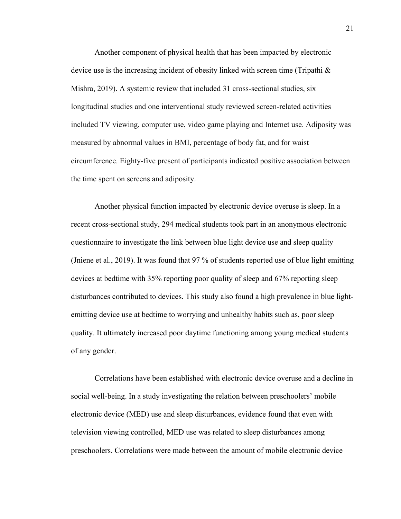Another component of physical health that has been impacted by electronic device use is the increasing incident of obesity linked with screen time (Tripathi & Mishra, 2019). A systemic review that included 31 cross-sectional studies, six longitudinal studies and one interventional study reviewed screen-related activities included TV viewing, computer use, video game playing and Internet use. Adiposity was measured by abnormal values in BMI, percentage of body fat, and for waist circumference. Eighty-five present of participants indicated positive association between the time spent on screens and adiposity.

Another physical function impacted by electronic device overuse is sleep. In a recent cross-sectional study, 294 medical students took part in an anonymous electronic questionnaire to investigate the link between blue light device use and sleep quality (Jniene et al., 2019). It was found that 97 % of students reported use of blue light emitting devices at bedtime with 35% reporting poor quality of sleep and 67% reporting sleep disturbances contributed to devices. This study also found a high prevalence in blue lightemitting device use at bedtime to worrying and unhealthy habits such as, poor sleep quality. It ultimately increased poor daytime functioning among young medical students of any gender.

Correlations have been established with electronic device overuse and a decline in social well-being. In a study investigating the relation between preschoolers' mobile electronic device (MED) use and sleep disturbances, evidence found that even with television viewing controlled, MED use was related to sleep disturbances among preschoolers. Correlations were made between the amount of mobile electronic device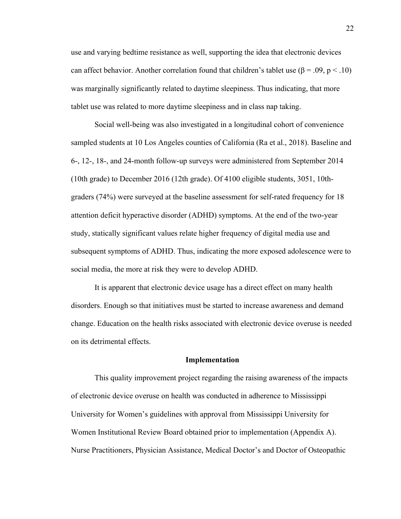use and varying bedtime resistance as well, supporting the idea that electronic devices can affect behavior. Another correlation found that children's tablet use  $(\beta = .09, p < .10)$ was marginally significantly related to daytime sleepiness. Thus indicating, that more tablet use was related to more daytime sleepiness and in class nap taking.

Social well-being was also investigated in a longitudinal cohort of convenience sampled students at 10 Los Angeles counties of California (Ra et al., 2018). Baseline and 6-, 12-, 18-, and 24-month follow-up surveys were administered from September 2014 (10th grade) to December 2016 (12th grade). Of 4100 eligible students, 3051, 10thgraders (74%) were surveyed at the baseline assessment for self-rated frequency for 18 attention deficit hyperactive disorder (ADHD) symptoms. At the end of the two-year study, statically significant values relate higher frequency of digital media use and subsequent symptoms of ADHD. Thus, indicating the more exposed adolescence were to social media, the more at risk they were to develop ADHD.

It is apparent that electronic device usage has a direct effect on many health disorders. Enough so that initiatives must be started to increase awareness and demand change. Education on the health risks associated with electronic device overuse is needed on its detrimental effects.

#### **Implementation**

This quality improvement project regarding the raising awareness of the impacts of electronic device overuse on health was conducted in adherence to Mississippi University for Women's guidelines with approval from Mississippi University for Women Institutional Review Board obtained prior to implementation (Appendix A). Nurse Practitioners, Physician Assistance, Medical Doctor's and Doctor of Osteopathic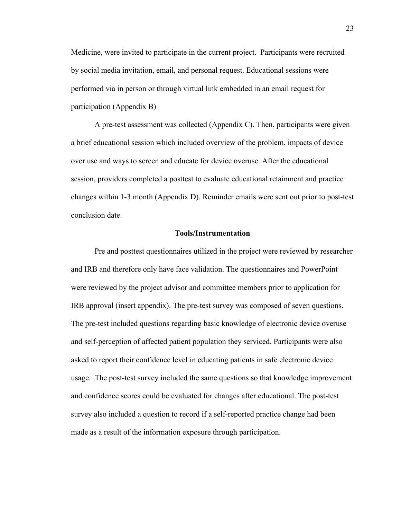Medicine, were invited to participate in the current project. Participants were recruited by social media invitation, email, and personal request. Educational sessions were performed via in person or through virtual link embedded in an email request for participation (Appendix B)

A pre-test assessment was collected (Appendix C). Then, participants were given a brief educational session which included overview of the problem, impacts of device over use and ways to screen and educate for device overuse. After the educational session, providers completed a posttest to evaluate educational retainment and practice changes within 1-3 month (Appendix D). Reminder emails were sent out prior to post-test conclusion date.

#### **Tools/Instrumentation**

Pre and posttest questionnaires utilized in the project were reviewed by researcher and IRB and therefore only have face validation. The questionnaires and PowerPoint were reviewed by the project advisor and committee members prior to application for IRB approval (insert appendix). The pre-test survey was composed of seven questions. The pre-test included questions regarding basic knowledge of electronic device overuse and self-perception of affected patient population they serviced. Participants were also asked to report their confidence level in educating patients in safe electronic device usage. The post-test survey included the same questions so that knowledge improvement and confidence scores could be evaluated for changes after educational. The post-test survey also included a question to record if a self-reported practice change had been made as a result of the information exposure through participation.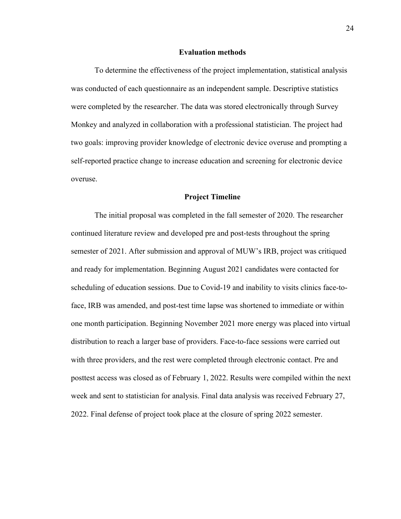#### **Evaluation methods**

To determine the effectiveness of the project implementation, statistical analysis was conducted of each questionnaire as an independent sample. Descriptive statistics were completed by the researcher. The data was stored electronically through Survey Monkey and analyzed in collaboration with a professional statistician. The project had two goals: improving provider knowledge of electronic device overuse and prompting a self-reported practice change to increase education and screening for electronic device overuse.

#### **Project Timeline**

The initial proposal was completed in the fall semester of 2020. The researcher continued literature review and developed pre and post-tests throughout the spring semester of 2021. After submission and approval of MUW's IRB, project was critiqued and ready for implementation. Beginning August 2021 candidates were contacted for scheduling of education sessions. Due to Covid-19 and inability to visits clinics face-toface, IRB was amended, and post-test time lapse was shortened to immediate or within one month participation. Beginning November 2021 more energy was placed into virtual distribution to reach a larger base of providers. Face-to-face sessions were carried out with three providers, and the rest were completed through electronic contact. Pre and posttest access was closed as of February 1, 2022. Results were compiled within the next week and sent to statistician for analysis. Final data analysis was received February 27, 2022. Final defense of project took place at the closure of spring 2022 semester.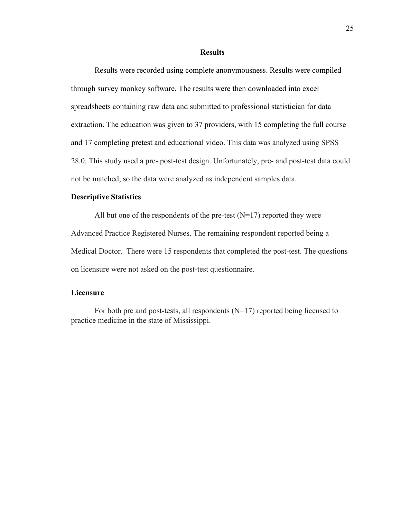#### **Results**

Results were recorded using complete anonymousness. Results were compiled through survey monkey software. The results were then downloaded into excel spreadsheets containing raw data and submitted to professional statistician for data extraction. The education was given to 37 providers, with 15 completing the full course and 17 completing pretest and educational video. This data was analyzed using SPSS 28.0. This study used a pre- post-test design. Unfortunately, pre- and post-test data could not be matched, so the data were analyzed as independent samples data.

#### **Descriptive Statistics**

All but one of the respondents of the pre-test  $(N=17)$  reported they were Advanced Practice Registered Nurses. The remaining respondent reported being a Medical Doctor. There were 15 respondents that completed the post-test. The questions on licensure were not asked on the post-test questionnaire.

# **Licensure**

For both pre and post-tests, all respondents (N=17) reported being licensed to practice medicine in the state of Mississippi.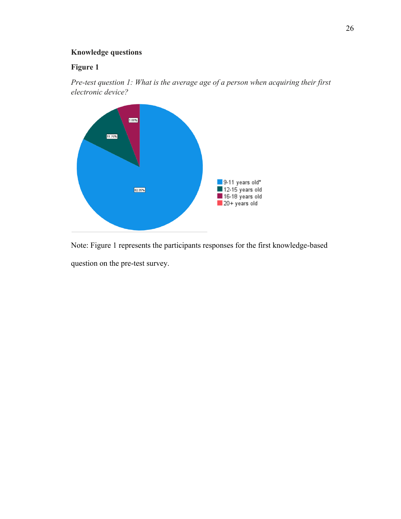# **Knowledge questions**

# **Figure 1**

*Pre-test question 1: What is the average age of a person when acquiring their first electronic device?*



Note: Figure 1 represents the participants responses for the first knowledge-based question on the pre-test survey.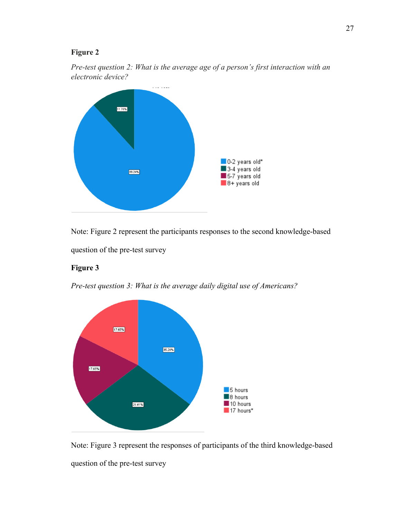# **Figure 2**





Note: Figure 2 represent the participants responses to the second knowledge-based question of the pre-test survey

## **Figure 3**

*Pre-test question 3: What is the average daily digital use of Americans?*



Note: Figure 3 represent the responses of participants of the third knowledge-based question of the pre-test survey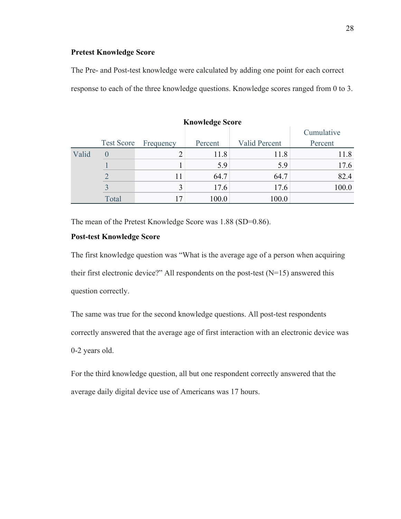### **Pretest Knowledge Score**

The Pre- and Post-test knowledge were calculated by adding one point for each correct response to each of the three knowledge questions. Knowledge scores ranged from 0 to 3.

|       | <b>Knowledge Score</b> |           |         |                      |            |  |  |  |  |
|-------|------------------------|-----------|---------|----------------------|------------|--|--|--|--|
|       |                        |           |         |                      | Cumulative |  |  |  |  |
|       | <b>Test Score</b>      | Frequency | Percent | <b>Valid Percent</b> | Percent    |  |  |  |  |
| Valid |                        |           | 11.8    | 11.8                 | 11.8       |  |  |  |  |
|       |                        |           | 5.9     | 5.9                  | 17.6       |  |  |  |  |
|       |                        | 11        | 64.7    | 64.7                 | 82.4       |  |  |  |  |
|       |                        | 3         | 17.6    | 17.6                 | 100.0      |  |  |  |  |
|       | Total                  | 17        | 100.0   | 100.0                |            |  |  |  |  |

The mean of the Pretest Knowledge Score was 1.88 (SD=0.86).

#### **Post-test Knowledge Score**

The first knowledge question was "What is the average age of a person when acquiring their first electronic device?" All respondents on the post-test  $(N=15)$  answered this question correctly.

The same was true for the second knowledge questions. All post-test respondents correctly answered that the average age of first interaction with an electronic device was 0-2 years old.

For the third knowledge question, all but one respondent correctly answered that the average daily digital device use of Americans was 17 hours.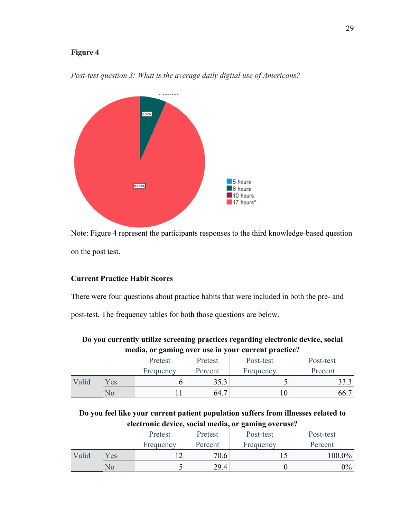# **Figure 4**



*Post-test question 3: What is the average daily digital use of Americans?*

Note: Figure 4 represent the participants responses to the third knowledge-based question on the post test.

# **Current Practice Habit Scores**

There were four questions about practice habits that were included in both the pre- and

post-test. The frequency tables for both those questions are below.

| Do you currently utilize screening practices regarding electronic device, social |  |
|----------------------------------------------------------------------------------|--|
| media, or gaming over use in your current practice?                              |  |

|       |     | Pretest   | Pretest | Post-test | Post-test |
|-------|-----|-----------|---------|-----------|-----------|
|       |     | Frequency | Percent | Frequency | Precent   |
| Valid | Yes |           | 35.3    |           | 33.3      |
|       | NО  |           | 64.7    |           | 66.7      |

**Do you feel like your current patient population suffers from illnesses related to electronic device, social media, or gaming overuse?**

|       |     | Pretest   | Pretest | Post-test | Post-test |
|-------|-----|-----------|---------|-----------|-----------|
|       |     | Frequency | Percent | Frequency | Percent   |
| Valid | Yes | ר ו       | 70.6    |           | 100.0%    |
|       | NО  |           | 29.4    |           | 9%        |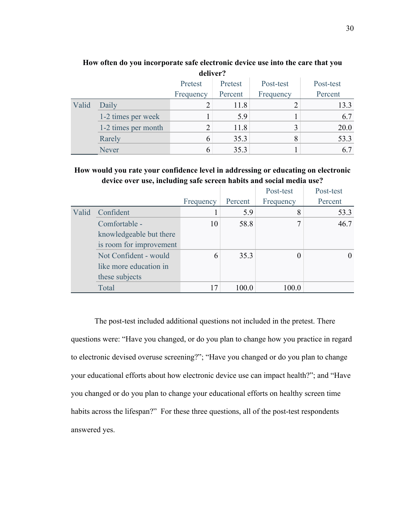|       | uvu vu .            |           |         |           |           |  |  |  |
|-------|---------------------|-----------|---------|-----------|-----------|--|--|--|
|       |                     | Pretest   | Pretest | Post-test | Post-test |  |  |  |
|       |                     | Frequency | Percent | Frequency | Percent   |  |  |  |
| Valid | Daily               |           | 11.8    |           | 13.3      |  |  |  |
|       | 1-2 times per week  |           | 5.9     |           | 6.7       |  |  |  |
|       | 1-2 times per month | 2         | 11.8    |           | 20.0      |  |  |  |
|       | Rarely              | 6         | 35.3    |           | 53.3      |  |  |  |
|       | <b>Never</b>        | 6         | 35.3    |           | 6.7       |  |  |  |

# **How often do you incorporate safe electronic device use into the care that you deliver?**

**How would you rate your confidence level in addressing or educating on electronic device over use, including safe screen habits and social media use?**

|       |                         |           |         | Post-test | Post-test |
|-------|-------------------------|-----------|---------|-----------|-----------|
|       |                         | Frequency | Percent | Frequency | Percent   |
| Valid | Confident               |           | 5.9     | 8         | 53.3      |
|       | Comfortable -           | 10        | 58.8    | 7         | 46.7      |
|       | knowledgeable but there |           |         |           |           |
|       | is room for improvement |           |         |           |           |
|       | Not Confident - would   | 6         | 35.3    | 0         | 0         |
|       | like more education in  |           |         |           |           |
|       | these subjects          |           |         |           |           |
|       | Total                   | 17        | 100.0   | 100.0     |           |

The post-test included additional questions not included in the pretest. There questions were: "Have you changed, or do you plan to change how you practice in regard to electronic devised overuse screening?"; "Have you changed or do you plan to change your educational efforts about how electronic device use can impact health?"; and "Have you changed or do you plan to change your educational efforts on healthy screen time habits across the lifespan?" For these three questions, all of the post-test respondents answered yes.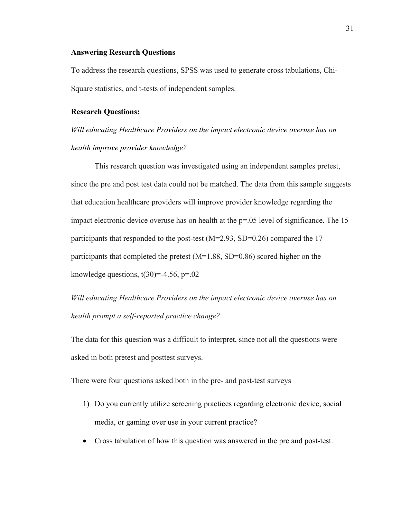### **Answering Research Questions**

To address the research questions, SPSS was used to generate cross tabulations, Chi-Square statistics, and t-tests of independent samples.

## **Research Questions:**

*Will educating Healthcare Providers on the impact electronic device overuse has on health improve provider knowledge?*

This research question was investigated using an independent samples pretest, since the pre and post test data could not be matched. The data from this sample suggests that education healthcare providers will improve provider knowledge regarding the impact electronic device overuse has on health at the  $p=0.05$  level of significance. The 15 participants that responded to the post-test (M=2.93, SD=0.26) compared the 17 participants that completed the pretest  $(M=1.88, SD=0.86)$  scored higher on the knowledge questions,  $t(30)=-4.56$ ,  $p=.02$ 

*Will educating Healthcare Providers on the impact electronic device overuse has on health prompt a self-reported practice change?*

The data for this question was a difficult to interpret, since not all the questions were asked in both pretest and posttest surveys.

There were four questions asked both in the pre- and post-test surveys

- 1) Do you currently utilize screening practices regarding electronic device, social media, or gaming over use in your current practice?
- Cross tabulation of how this question was answered in the pre and post-test.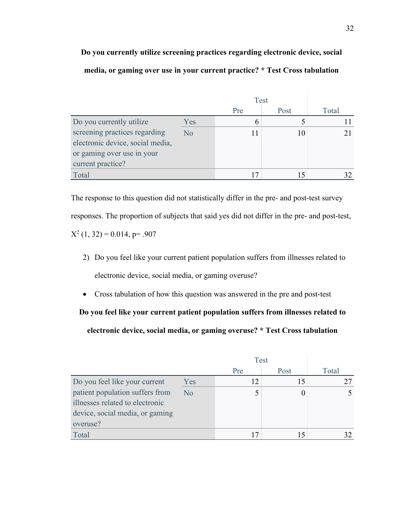**Do you currently utilize screening practices regarding electronic device, social media, or gaming over use in your current practice? \* Test Cross tabulation**

|                                  |                | <b>Test</b> |      |       |
|----------------------------------|----------------|-------------|------|-------|
|                                  |                | Pre         | Post | Total |
| Do you currently utilize         | Yes            |             |      |       |
| screening practices regarding    | N <sub>o</sub> |             |      |       |
| electronic device, social media, |                |             |      |       |
| or gaming over use in your       |                |             |      |       |
| current practice?                |                |             |      |       |
| Total                            |                |             |      |       |

The response to this question did not statistically differ in the pre- and post-test survey responses. The proportion of subjects that said yes did not differ in the pre- and post-test,  $X^2$  (1, 32) = 0.014, p= .907

- 2) Do you feel like your current patient population suffers from illnesses related to electronic device, social media, or gaming overuse?
- Cross tabulation of how this question was answered in the pre and post-test

**Do you feel like your current patient population suffers from illnesses related to electronic device, social media, or gaming overuse? \* Test Cross tabulation**

|                                 |     | <b>Test</b> |      |       |
|---------------------------------|-----|-------------|------|-------|
|                                 |     | Pre         | Post | Total |
| Do you feel like your current   | Yes | 12          |      |       |
| patient population suffers from | No  |             |      |       |
| illnesses related to electronic |     |             |      |       |
| device, social media, or gaming |     |             |      |       |
| overuse?                        |     |             |      |       |
| Total                           |     | 17          |      |       |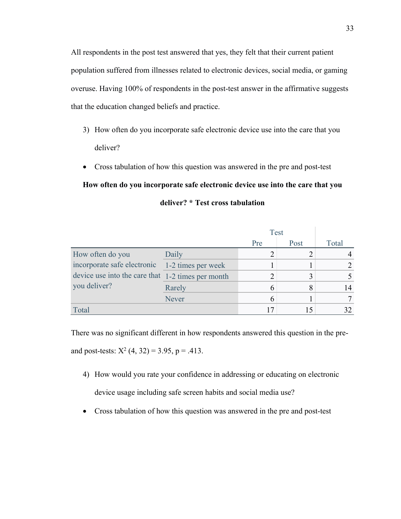All respondents in the post test answered that yes, they felt that their current patient population suffered from illnesses related to electronic devices, social media, or gaming overuse. Having 100% of respondents in the post-test answer in the affirmative suggests that the education changed beliefs and practice.

- 3) How often do you incorporate safe electronic device use into the care that you deliver?
- Cross tabulation of how this question was answered in the pre and post-test

# **How often do you incorporate safe electronic device use into the care that you deliver? \* Test cross tabulation**

|                                                   |                    | <b>Test</b> |      |       |
|---------------------------------------------------|--------------------|-------------|------|-------|
|                                                   |                    | Pre         | Post | Total |
| How often do you                                  | Daily              |             |      |       |
| incorporate safe electronic                       | 1-2 times per week |             |      |       |
| device use into the care that 1-2 times per month |                    |             |      |       |
| you deliver?                                      | Rarely             |             |      |       |
|                                                   | Never              |             |      |       |
| Total                                             |                    | 17          |      |       |

There was no significant different in how respondents answered this question in the preand post-tests:  $X^2$  (4, 32) = 3.95, p = .413.

- 4) How would you rate your confidence in addressing or educating on electronic device usage including safe screen habits and social media use?
- Cross tabulation of how this question was answered in the pre and post-test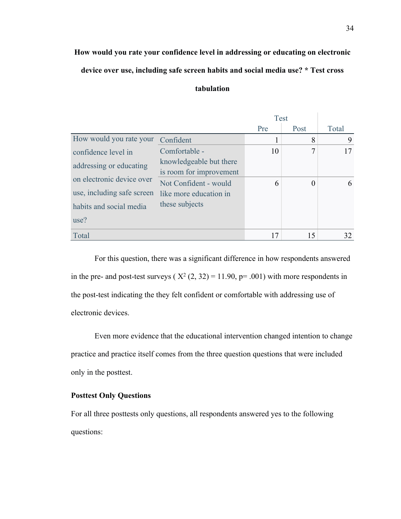# **How would you rate your confidence level in addressing or educating on electronic device over use, including safe screen habits and social media use? \* Test cross**

# **tabulation**

|                                                      |                         | Test |          |       |
|------------------------------------------------------|-------------------------|------|----------|-------|
|                                                      |                         | Pre  | Post     | Total |
| How would you rate your                              | Confident               | 1    | 8        | 9     |
| confidence level in                                  | Comfortable -           | 10   | 7        | 17    |
| addressing or educating<br>on electronic device over | knowledgeable but there |      |          |       |
|                                                      | is room for improvement |      |          |       |
|                                                      | Not Confident - would   | 6    | $\Omega$ | 6     |
| use, including safe screen                           | like more education in  |      |          |       |
| habits and social media                              | these subjects          |      |          |       |
| use?                                                 |                         |      |          |       |
| Total                                                |                         | 17   | 15       | 32    |

For this question, there was a significant difference in how respondents answered in the pre- and post-test surveys ( $X^2$  (2, 32) = 11.90, p= .001) with more respondents in the post-test indicating the they felt confident or comfortable with addressing use of electronic devices.

Even more evidence that the educational intervention changed intention to change practice and practice itself comes from the three question questions that were included only in the posttest.

## **Posttest Only Questions**

For all three posttests only questions, all respondents answered yes to the following questions: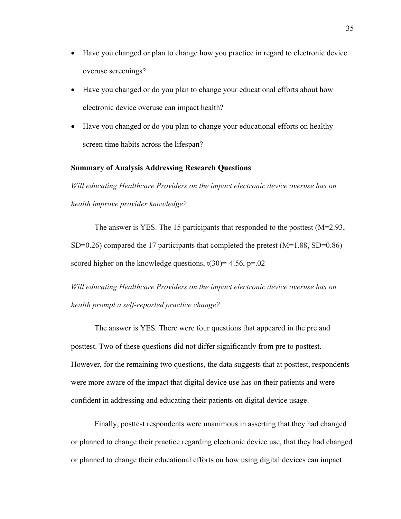- Have you changed or plan to change how you practice in regard to electronic device overuse screenings?
- Have you changed or do you plan to change your educational efforts about how electronic device overuse can impact health?
- Have you changed or do you plan to change your educational efforts on healthy screen time habits across the lifespan?

#### **Summary of Analysis Addressing Research Questions**

*Will educating Healthcare Providers on the impact electronic device overuse has on health improve provider knowledge?*

The answer is YES. The 15 participants that responded to the posttest (M=2.93, SD=0.26) compared the 17 participants that completed the pretest  $(M=1.88, SD=0.86)$ scored higher on the knowledge questions,  $t(30)=4.56$ ,  $p=.02$ 

*Will educating Healthcare Providers on the impact electronic device overuse has on health prompt a self-reported practice change?*

The answer is YES. There were four questions that appeared in the pre and posttest. Two of these questions did not differ significantly from pre to posttest. However, for the remaining two questions, the data suggests that at posttest, respondents were more aware of the impact that digital device use has on their patients and were confident in addressing and educating their patients on digital device usage.

Finally, posttest respondents were unanimous in asserting that they had changed or planned to change their practice regarding electronic device use, that they had changed or planned to change their educational efforts on how using digital devices can impact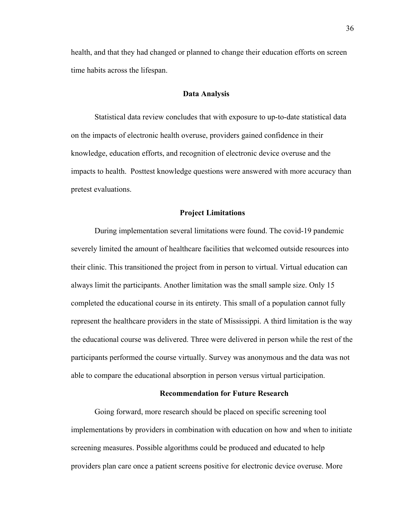health, and that they had changed or planned to change their education efforts on screen time habits across the lifespan.

### **Data Analysis**

Statistical data review concludes that with exposure to up-to-date statistical data on the impacts of electronic health overuse, providers gained confidence in their knowledge, education efforts, and recognition of electronic device overuse and the impacts to health. Posttest knowledge questions were answered with more accuracy than pretest evaluations.

#### **Project Limitations**

During implementation several limitations were found. The covid-19 pandemic severely limited the amount of healthcare facilities that welcomed outside resources into their clinic. This transitioned the project from in person to virtual. Virtual education can always limit the participants. Another limitation was the small sample size. Only 15 completed the educational course in its entirety. This small of a population cannot fully represent the healthcare providers in the state of Mississippi. A third limitation is the way the educational course was delivered. Three were delivered in person while the rest of the participants performed the course virtually. Survey was anonymous and the data was not able to compare the educational absorption in person versus virtual participation.

#### **Recommendation for Future Research**

Going forward, more research should be placed on specific screening tool implementations by providers in combination with education on how and when to initiate screening measures. Possible algorithms could be produced and educated to help providers plan care once a patient screens positive for electronic device overuse. More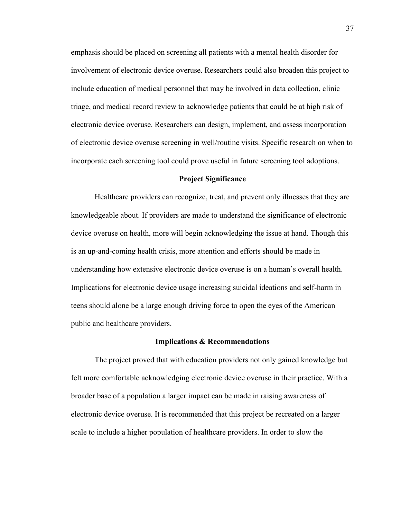emphasis should be placed on screening all patients with a mental health disorder for involvement of electronic device overuse. Researchers could also broaden this project to include education of medical personnel that may be involved in data collection, clinic triage, and medical record review to acknowledge patients that could be at high risk of electronic device overuse. Researchers can design, implement, and assess incorporation of electronic device overuse screening in well/routine visits. Specific research on when to incorporate each screening tool could prove useful in future screening tool adoptions.

#### **Project Significance**

Healthcare providers can recognize, treat, and prevent only illnesses that they are knowledgeable about. If providers are made to understand the significance of electronic device overuse on health, more will begin acknowledging the issue at hand. Though this is an up-and-coming health crisis, more attention and efforts should be made in understanding how extensive electronic device overuse is on a human's overall health. Implications for electronic device usage increasing suicidal ideations and self-harm in teens should alone be a large enough driving force to open the eyes of the American public and healthcare providers.

#### **Implications & Recommendations**

The project proved that with education providers not only gained knowledge but felt more comfortable acknowledging electronic device overuse in their practice. With a broader base of a population a larger impact can be made in raising awareness of electronic device overuse. It is recommended that this project be recreated on a larger scale to include a higher population of healthcare providers. In order to slow the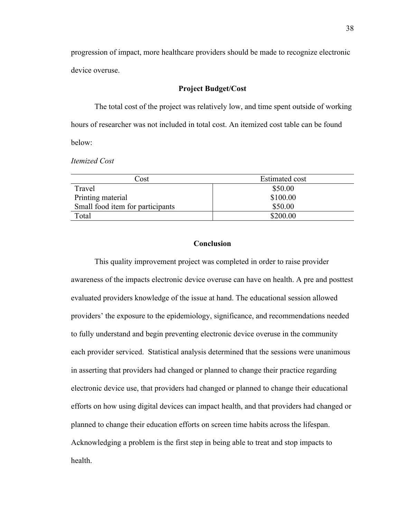progression of impact, more healthcare providers should be made to recognize electronic device overuse.

## **Project Budget/Cost**

The total cost of the project was relatively low, and time spent outside of working hours of researcher was not included in total cost. An itemized cost table can be found below:

*Itemized Cost* 

| Cost                             | Estimated cost |
|----------------------------------|----------------|
| Travel                           | \$50.00        |
| Printing material                | \$100.00       |
| Small food item for participants | \$50.00        |
| Total                            | \$200.00       |

## **Conclusion**

This quality improvement project was completed in order to raise provider awareness of the impacts electronic device overuse can have on health. A pre and posttest evaluated providers knowledge of the issue at hand. The educational session allowed providers' the exposure to the epidemiology, significance, and recommendations needed to fully understand and begin preventing electronic device overuse in the community each provider serviced. Statistical analysis determined that the sessions were unanimous in asserting that providers had changed or planned to change their practice regarding electronic device use, that providers had changed or planned to change their educational efforts on how using digital devices can impact health, and that providers had changed or planned to change their education efforts on screen time habits across the lifespan. Acknowledging a problem is the first step in being able to treat and stop impacts to health.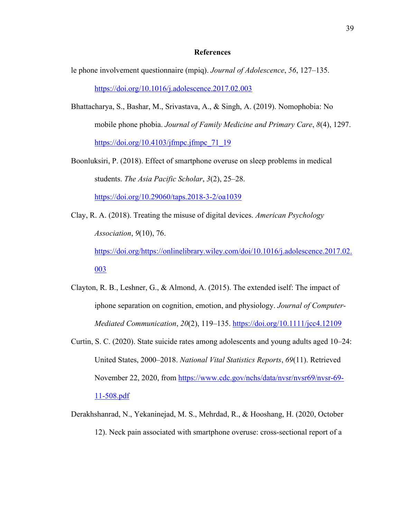#### **References**

- le phone involvement questionnaire (mpiq). *Journal of Adolescence*, *56*, 127–135. https://doi.org/10.1016/j.adolescence.2017.02.003
- Bhattacharya, S., Bashar, M., Srivastava, A., & Singh, A. (2019). Nomophobia: No mobile phone phobia. *Journal of Family Medicine and Primary Care*, *8*(4), 1297. https://doi.org/10.4103/jfmpc.jfmpc $71$  19
- Boonluksiri, P. (2018). Effect of smartphone overuse on sleep problems in medical students. *The Asia Pacific Scholar*, *3*(2), 25–28. https://doi.org/10.29060/taps.2018-3-2/oa1039
- Clay, R. A. (2018). Treating the misuse of digital devices. *American Psychology Association*, *9*(10), 76. https://doi.org/https://onlinelibrary.wiley.com/doi/10.1016/j.adolescence.2017.02. 003
- Clayton, R. B., Leshner, G., & Almond, A. (2015). The extended iself: The impact of iphone separation on cognition, emotion, and physiology. *Journal of Computer-Mediated Communication*, *20*(2), 119–135. https://doi.org/10.1111/jcc4.12109
- Curtin, S. C. (2020). State suicide rates among adolescents and young adults aged 10–24: United States, 2000–2018. *National Vital Statistics Reports*, *69*(11). Retrieved November 22, 2020, from https://www.cdc.gov/nchs/data/nvsr/nvsr69/nvsr-69- 11-508.pdf
- Derakhshanrad, N., Yekaninejad, M. S., Mehrdad, R., & Hooshang, H. (2020, October 12). Neck pain associated with smartphone overuse: cross-sectional report of a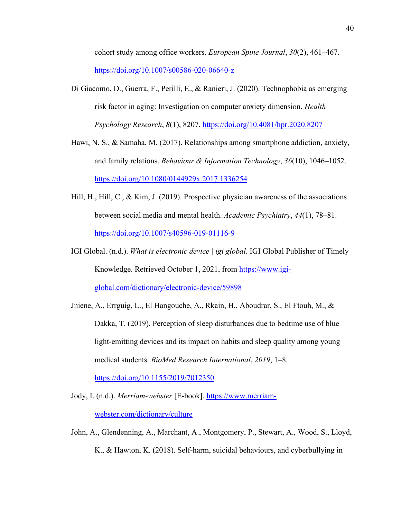cohort study among office workers. *European Spine Journal*, *30*(2), 461–467. https://doi.org/10.1007/s00586-020-06640-z

- Di Giacomo, D., Guerra, F., Perilli, E., & Ranieri, J. (2020). Technophobia as emerging risk factor in aging: Investigation on computer anxiety dimension. *Health Psychology Research*, *8*(1), 8207. https://doi.org/10.4081/hpr.2020.8207
- Hawi, N. S., & Samaha, M. (2017). Relationships among smartphone addiction, anxiety, and family relations. *Behaviour & Information Technology*, *36*(10), 1046–1052. https://doi.org/10.1080/0144929x.2017.1336254
- Hill, H., Hill, C., & Kim, J. (2019). Prospective physician awareness of the associations between social media and mental health. *Academic Psychiatry*, *44*(1), 78–81. https://doi.org/10.1007/s40596-019-01116-9
- IGI Global. (n.d.). *What is electronic device | igi global*. IGI Global Publisher of Timely Knowledge. Retrieved October 1, 2021, from https://www.igiglobal.com/dictionary/electronic-device/59898
- Jniene, A., Errguig, L., El Hangouche, A., Rkain, H., Aboudrar, S., El Ftouh, M., & Dakka, T. (2019). Perception of sleep disturbances due to bedtime use of blue light-emitting devices and its impact on habits and sleep quality among young medical students. *BioMed Research International*, *2019*, 1–8.

https://doi.org/10.1155/2019/7012350

- Jody, I. (n.d.). *Merriam-webster* [E-book]. https://www.merriamwebster.com/dictionary/culture
- John, A., Glendenning, A., Marchant, A., Montgomery, P., Stewart, A., Wood, S., Lloyd, K., & Hawton, K. (2018). Self-harm, suicidal behaviours, and cyberbullying in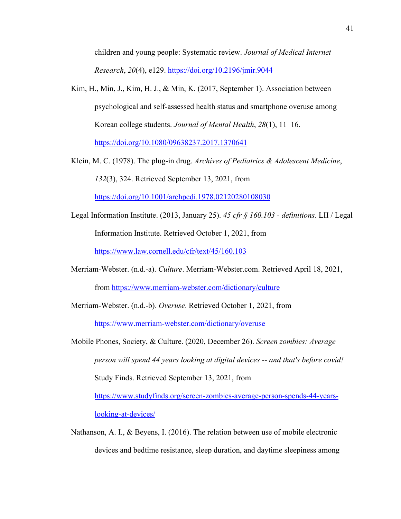children and young people: Systematic review. *Journal of Medical Internet Research*, *20*(4), e129. https://doi.org/10.2196/jmir.9044

- Kim, H., Min, J., Kim, H. J., & Min, K. (2017, September 1). Association between psychological and self-assessed health status and smartphone overuse among Korean college students. *Journal of Mental Health*, *28*(1), 11–16. https://doi.org/10.1080/09638237.2017.1370641
- Klein, M. C. (1978). The plug-in drug. *Archives of Pediatrics & Adolescent Medicine*, *132*(3), 324. Retrieved September 13, 2021, from

https://doi.org/10.1001/archpedi.1978.02120280108030

- Legal Information Institute. (2013, January 25). *45 cfr § 160.103 - definitions.* LII / Legal Information Institute. Retrieved October 1, 2021, from https://www.law.cornell.edu/cfr/text/45/160.103
- Merriam-Webster. (n.d.-a). *Culture*. Merriam-Webster.com. Retrieved April 18, 2021, from https://www.merriam-webster.com/dictionary/culture
- Merriam-Webster. (n.d.-b). *Overuse*. Retrieved October 1, 2021, from https://www.merriam-webster.com/dictionary/overuse
- Mobile Phones, Society, & Culture. (2020, December 26). *Screen zombies: Average person will spend 44 years looking at digital devices -- and that's before covid!* Study Finds. Retrieved September 13, 2021, from https://www.studyfinds.org/screen-zombies-average-person-spends-44-yearslooking-at-devices/
- Nathanson, A. I., & Beyens, I. (2016). The relation between use of mobile electronic devices and bedtime resistance, sleep duration, and daytime sleepiness among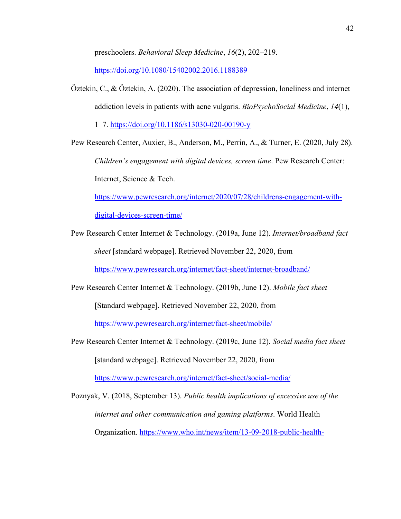preschoolers. *Behavioral Sleep Medicine*, *16*(2), 202–219.

https://doi.org/10.1080/15402002.2016.1188389

Öztekin, C., & Öztekin, A. (2020). The association of depression, loneliness and internet addiction levels in patients with acne vulgaris. *BioPsychoSocial Medicine*, *14*(1),

1–7. https://doi.org/10.1186/s13030-020-00190-y

Pew Research Center, Auxier, B., Anderson, M., Perrin, A., & Turner, E. (2020, July 28). *Children's engagement with digital devices, screen time*. Pew Research Center: Internet, Science & Tech.

https://www.pewresearch.org/internet/2020/07/28/childrens-engagement-with-

digital-devices-screen-time/

Pew Research Center Internet & Technology. (2019a, June 12). *Internet/broadband fact sheet* [standard webpage]. Retrieved November 22, 2020, from

https://www.pewresearch.org/internet/fact-sheet/internet-broadband/

Pew Research Center Internet & Technology. (2019b, June 12). *Mobile fact sheet* [Standard webpage]. Retrieved November 22, 2020, from

https://www.pewresearch.org/internet/fact-sheet/mobile/

Pew Research Center Internet & Technology. (2019c, June 12). *Social media fact sheet* [standard webpage]. Retrieved November 22, 2020, from

https://www.pewresearch.org/internet/fact-sheet/social-media/

Poznyak, V. (2018, September 13). *Public health implications of excessive use of the internet and other communication and gaming platforms*. World Health Organization. https://www.who.int/news/item/13-09-2018-public-health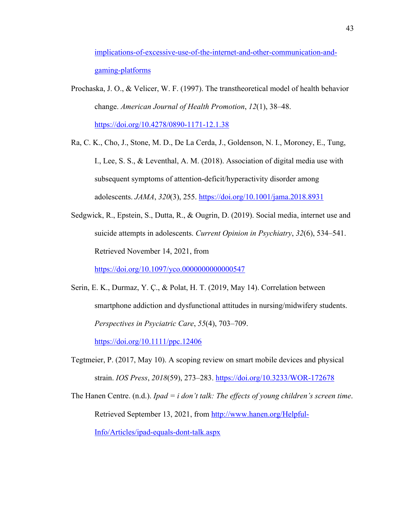implications-of-excessive-use-of-the-internet-and-other-communication-andgaming-platforms

- Prochaska, J. O., & Velicer, W. F. (1997). The transtheoretical model of health behavior change. *American Journal of Health Promotion*, *12*(1), 38–48. https://doi.org/10.4278/0890-1171-12.1.38
- Ra, C. K., Cho, J., Stone, M. D., De La Cerda, J., Goldenson, N. I., Moroney, E., Tung, I., Lee, S. S., & Leventhal, A. M. (2018). Association of digital media use with subsequent symptoms of attention-deficit/hyperactivity disorder among adolescents. *JAMA*, *320*(3), 255. https://doi.org/10.1001/jama.2018.8931
- Sedgwick, R., Epstein, S., Dutta, R., & Ougrin, D. (2019). Social media, internet use and suicide attempts in adolescents. *Current Opinion in Psychiatry*, *32*(6), 534–541. Retrieved November 14, 2021, from

https://doi.org/10.1097/yco.00000000000000547

- Serin, E. K., Durmaz, Y. Ç., & Polat, H. T. (2019, May 14). Correlation between smartphone addiction and dysfunctional attitudes in nursing/midwifery students. *Perspectives in Psyciatric Care*, *55*(4), 703–709. https://doi.org/10.1111/ppc.12406
- Tegtmeier, P. (2017, May 10). A scoping review on smart mobile devices and physical strain. *IOS Press*, *2018*(59), 273–283. https://doi.org/10.3233/WOR-172678

The Hanen Centre. (n.d.). *Ipad = i don't talk: The effects of young children's screen time*. Retrieved September 13, 2021, from http://www.hanen.org/Helpful-Info/Articles/ipad-equals-dont-talk.aspx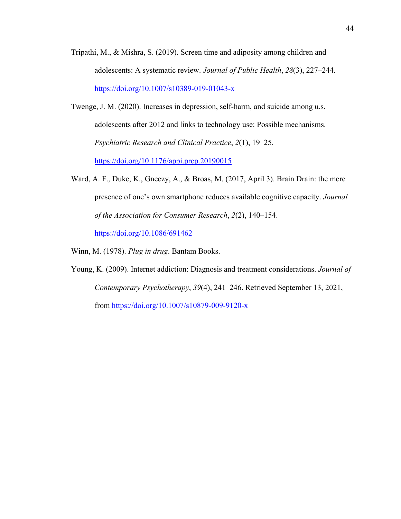- Tripathi, M., & Mishra, S. (2019). Screen time and adiposity among children and adolescents: A systematic review. *Journal of Public Health*, *28*(3), 227–244. https://doi.org/10.1007/s10389-019-01043-x
- Twenge, J. M. (2020). Increases in depression, self‐harm, and suicide among u.s. adolescents after 2012 and links to technology use: Possible mechanisms. *Psychiatric Research and Clinical Practice*, *2*(1), 19–25. https://doi.org/10.1176/appi.prcp.20190015
- Ward, A. F., Duke, K., Gneezy, A., & Broas, M. (2017, April 3). Brain Drain: the mere presence of one's own smartphone reduces available cognitive capacity. *Journal of the Association for Consumer Research*, *2*(2), 140–154. https://doi.org/10.1086/691462

Winn, M. (1978). *Plug in drug*. Bantam Books.

Young, K. (2009). Internet addiction: Diagnosis and treatment considerations. *Journal of Contemporary Psychotherapy*, *39*(4), 241–246. Retrieved September 13, 2021, from https://doi.org/10.1007/s10879-009-9120-x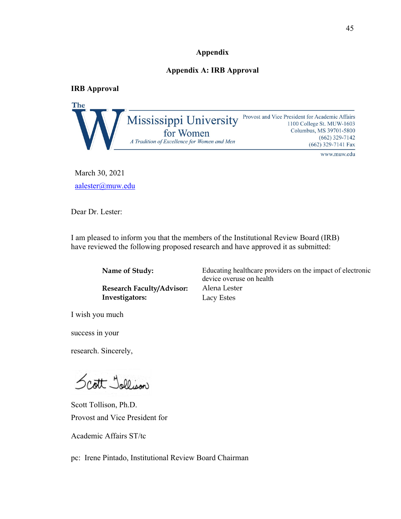## **Appendix**

## **Appendix A: IRB Approval**

**IRB Approval**



March 30, 2021 aalester@muw.edu

Dear Dr. Lester:

I am pleased to inform you that the members of the Institutional Review Board (IRB) have reviewed the following proposed research and have approved it as submitted:

| Name of Study:                   | Educating healthcare providers on the impact of electronic<br>device overuse on health |
|----------------------------------|----------------------------------------------------------------------------------------|
| <b>Research Faculty/Advisor:</b> | Alena Lester                                                                           |
| Investigators:                   | Lacy Estes                                                                             |

I wish you much

success in your

research. Sincerely,

Scott Jollison

Scott Tollison, Ph.D. Provost and Vice President for

Academic Affairs ST/tc

pc: Irene Pintado, Institutional Review Board Chairman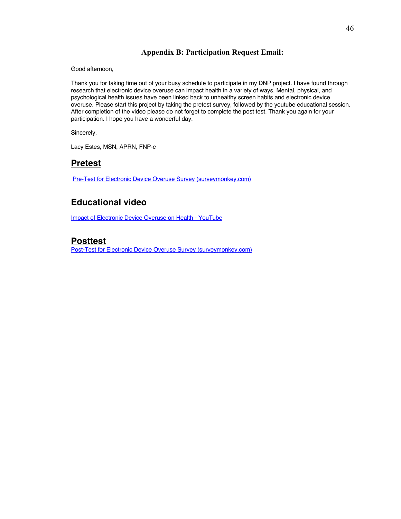# **Appendix B: Participation Request Email:**

Good afternoon,

Thank you for taking time out of your busy schedule to participate in my DNP project. I have found through research that electronic device overuse can impact health in a variety of ways. Mental, physical, and psychological health issues have been linked back to unhealthy screen habits and electronic device overuse. Please start this project by taking the pretest survey, followed by the youtube educational session. After completion of the video please do not forget to complete the post test. Thank you again for your participation. I hope you have a wonderful day.

Sincerely,

Lacy Estes, MSN, APRN, FNP-c

# **Pretest**

Pre-Test for Electronic Device Overuse Survey (surveymonkey.com)

# **Educational video**

Impact of Electronic Device Overuse on Health - YouTube

# **Posttest**

Post-Test for Electronic Device Overuse Survey (surveymonkey.com)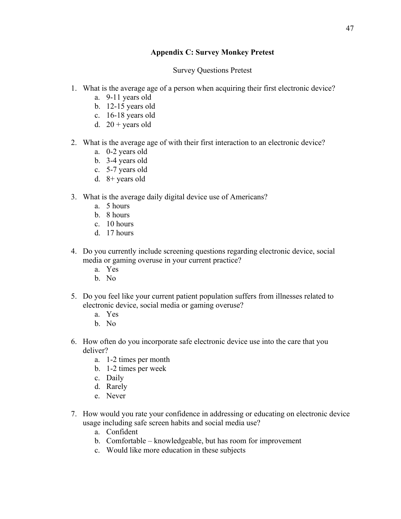# **Appendix C: Survey Monkey Pretest**

Survey Questions Pretest

- 1. What is the average age of a person when acquiring their first electronic device?
	- a. 9-11 years old
	- b. 12-15 years old
	- c. 16-18 years old
	- d.  $20 + \text{years}$  old
- 2. What is the average age of with their first interaction to an electronic device?
	- a. 0-2 years old
	- b. 3-4 years old
	- c. 5-7 years old
	- d. 8+ years old
- 3. What is the average daily digital device use of Americans?
	- a. 5 hours
	- b. 8 hours
	- c. 10 hours
	- d. 17 hours
- 4. Do you currently include screening questions regarding electronic device, social media or gaming overuse in your current practice?
	- a. Yes
	- b. No
- 5. Do you feel like your current patient population suffers from illnesses related to electronic device, social media or gaming overuse?
	- a. Yes
	- b. No
- 6. How often do you incorporate safe electronic device use into the care that you deliver?
	- a. 1-2 times per month
	- b. 1-2 times per week
	- c. Daily
	- d. Rarely
	- e. Never
- 7. How would you rate your confidence in addressing or educating on electronic device usage including safe screen habits and social media use?
	- a. Confident
	- b. Comfortable knowledgeable, but has room for improvement
	- c. Would like more education in these subjects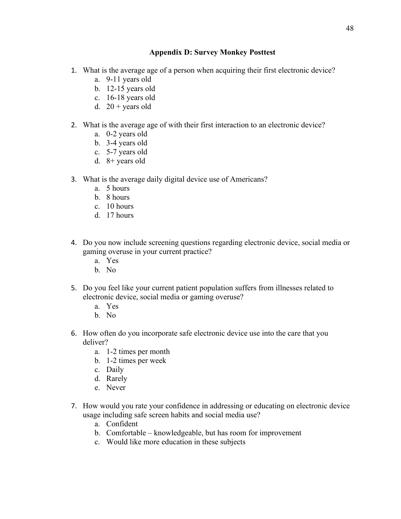# **Appendix D: Survey Monkey Posttest**

- 1. What is the average age of a person when acquiring their first electronic device?
	- a. 9-11 years old
	- b. 12-15 years old
	- c. 16-18 years old
	- d.  $20 + \text{years}$  old
- 2. What is the average age of with their first interaction to an electronic device?
	- a. 0-2 years old
	- b. 3-4 years old
	- c. 5-7 years old
	- d. 8+ years old
- 3. What is the average daily digital device use of Americans?
	- a. 5 hours
	- b. 8 hours
	- c. 10 hours
	- d. 17 hours
- 4. Do you now include screening questions regarding electronic device, social media or gaming overuse in your current practice?
	- a. Yes
	- b. No
- 5. Do you feel like your current patient population suffers from illnesses related to electronic device, social media or gaming overuse?
	- a. Yes
	- b. No
- 6. How often do you incorporate safe electronic device use into the care that you deliver?
	- a. 1-2 times per month
	- b. 1-2 times per week
	- c. Daily
	- d. Rarely
	- e. Never
- 7. How would you rate your confidence in addressing or educating on electronic device usage including safe screen habits and social media use?
	- a. Confident
	- b. Comfortable knowledgeable, but has room for improvement
	- c. Would like more education in these subjects